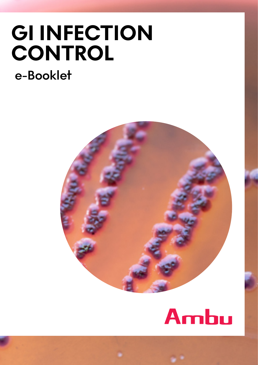## **GI INFECTION CONTROL e-Booklet**

# Ambu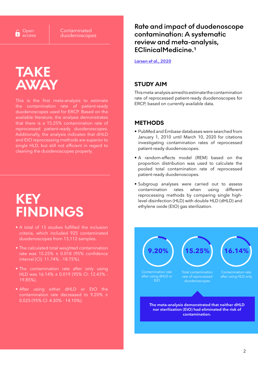Open Œ access **Contaminated** duodenoscopes

### **TAKE AWAY**

This is the first meta-analysis to estimate the contamination rate of patient-ready duodenoscopes used for ERCP. Based on the available literature, the analysis demonstrates that there is a 15.25% contamination rate of reprocessed patient-ready duodenoscopes. Additionally, the analysis indicates that dHLD and EtO reprocessing methods are superior to single HLD, but still not efficient in regard to cleaning the duodenoscopes properly.

### **KEY FINDINGS**

- A total of 15 studies fulfilled the inclusion criteria, which included 925 contaminated duodenoscopes from 13,112 samples.
- The calculated total weighted contamination rate was 15.25% ± 0.018 (95% confidence interval [Cl]: 11.74% - 18.75%).
- The contamination rate after only using HLD was 16.14% ± 0.019 (95% Cl: 12.43% - 19.85%).
- After using either dHLD or EtO the contamination rate decreased to 9.20% ± 0.025 (95% Cl: 4.30% - 14.10%).

**Rate and impact of duodenoscope contamination: A systematic review and meta-analysis, EClinicalMedicine.1**

**[Larsen et al., 2020](https://www.thelancet.com/journals/eclinm/article/PIIS2589-5370(20)30195-4/fulltext)**

#### **STUDY AIM**

This meta-analysis aimed to estimate the contamination rate of reprocessed patient-ready duodenoscopes for ERCP, based on currently available data.

#### **METHODS**

- PubMed and Embase databases were searched from January 1, 2010 until March 10, 2020 for citations investigating contamination rates of reprocessed patient-ready duodenoscopes.
- A random-effects model (REM) based on the proportion distribution was used to calculate the pooled total contamination rate of reprocessed patient-ready duodenoscopes.
- Subgroup analyses were carried out to assess contamination rates when using different reprocessing methods by comparing single highlevel disinfection (HLD) with double HLD (dHLD) and ethylene oxide (EtO) gas sterilization.

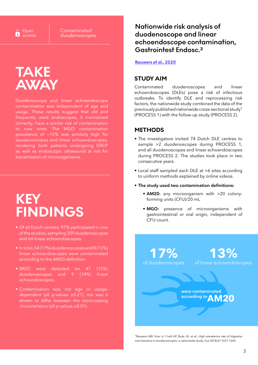Open access **Contaminated** duodenoscopes

### **TAKE AWAY**

Duodenoscope and linear echoendoscope contamination was independent of age and usage. These results suggest that old and frequently used endoscopes, if maintained correctly, have a similar risk of contamination to new ones. The MGO contamination prevalence of ~15% was similarly high for duodenoscopes and linear echoendoscopes, rendering both patients undergoing ERCP as well as endoscopic ultrasound at risk for transmission of microorganisms.

### **KEY FINDINGS**

- Of all Dutch centres, 97% participated in one of the studies, sampling 309 duodenoscopes and 64 linear echoendoscopes.
- In total, 54 (17%) duodenoscopes and 8 (13%) linear echoendoscopes were contaminated according to the AM20 definition.
- MGO were detected on 47 (15%) duodenoscopes and 9 (14%) linear echoendoscopes.
- Contamination was not age or usagedependent (all p-values ≥0.27), nor was it shown to differ between the reprocessing characteristics (all p-values ≥0.01).

**Nationwide risk analysis of duodenoscope and linear echoendoscope contamination, Gastrointest Endosc.2**

**[Rauwers et al., 2020](https://www.giejournal.org/article/S0016-5107(20)34365-0/fulltext)**

#### **STUDY AIM**

Contaminated duodenoscopes and linear echoendoscopes (DLEs) pose a risk of infectious outbreaks. To identify DLE and reprocessing risk factors, the nationwide study combined the data of the previously published nationwide cross-sectional study1 (PROCESS 1) with the follow-up study (PROCESS 2).

#### **METHODS**

- The investigators invited 74 Dutch DLE centres to sample >2 duodenoscopes during PROCESS 1, and all duodenoscopes and linear echoendoscopes during PROCESS 2. The studies took place in two consecutive years.
- Local staff sampled each DLE at >6 sites according to uniform methods explained by online videos.
- **• The study used two contamination definitions:**
	- **• AM20:** any microorganism with >20 colonyforming units (CFU)/20 mL
	- **• MGO:** presence of microorganisms with gastrointestinal or oral origin, independent of CFU count.

**17%** of duodenoscopes **13%** of linear echoendoscopes

> **AM20 were contaminated according to**

<sup>1</sup>Rauwers AW, Voor in 't holt AF, Buijs JG, et al., High prevalence rate of digestive tract bacteria in duodenoscopes: a nationwide study; Gut 2018;67:1637-1645.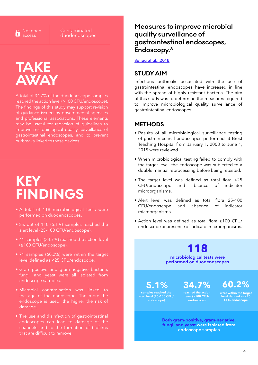**Contaminated** duodenoscopes

### **TAKE AWAY**

A total of 34.7% of the duodenoscope samples reached the action level (>100 CFU/endoscope). The findings of this study may support revision of guidance issued by governmental agencies and professional associations. These elements may be useful for redaction of guidelines to improve microbiological quality surveillance of gastrointestinal endoscopes, and to prevent outbreaks linked to these devices.

### **KEY FINDINGS**

- A total of 118 microbiological tests were performed on duodenoscopes.
- Six out of 118 (5.1%) samples reached the alert level (25–100 CFU/endoscope).
- 41 samples (34.7%) reached the action level (≥100 CFU/endoscope).
- 71 samples (60.2%) were within the target level defined as <25 CFU/endoscope.
- Gram-positive and gram-negative bacteria, fungi, and yeast were all isolated from endoscope samples.
- Microbial contamination was linked to the age of the endoscope. The more the endoscope is used, the higher the risk of damage.
- The use and disinfection of gastrointestinal endoscopes can lead to damage of the channels and to the formation of biofilms that are difficult to remove.

### **Measures to improve microbial quality surveillance of gastrointestinal endoscopes, Endoscopy.3**

#### **[Saliou et al., 2016](https://www.thieme-connect.com/products/ejournals/abstract/10.1055/s-0042-107591)**

#### **STUDY AIM**

Infectious outbreaks associated with the use of gastrointestinal endoscopes have increased in line with the spread of highly resistant bacteria. The aim of this study was to determine the measures required to improve microbiological quality surveillance of gastrointestinal endoscopes.

#### **METHODS**

- Results of all microbiological surveillance testing of gastrointestinal endoscopes performed at Brest Teaching Hospital from January 1, 2008 to June 1, 2015 were reviewed.
- When microbiological testing failed to comply with the target level, the endoscope was subjected to a double manual reprocessing before being retested.
- The target level was defined as total flora <25 CFU/endoscope and absence of indicator microorganisms.
- Alert level was defined as total flora 25–100 CFU/endoscope and absence of indicator microorganisms.
- Action level was defined as total flora ≥100 CFU/ endoscope or presence of indicator microorganisms.

#### **118 microbiological tests were performed on duodenoscopes**

**5.1% samples reached the alert level (25–100 CFU/ endoscope)**

**34.7% reached the action** 

**level (>100 CFU/ endoscope)** 

**60.2%**

**were within the target level defined as <25 CFU/endoscope**

**Both gram-positive, gram-negative, fungi, and yeast were isolated from endoscope samples**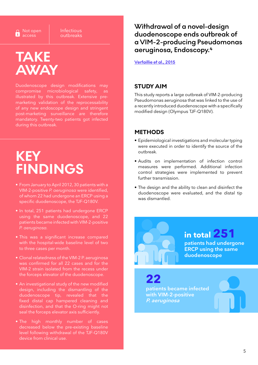∩ Not open ø access

Infectious outbreaks

### **TAKE AWAY**

Duodenoscope design modifications may compromise microbiological safety, as illustrated by this outbreak. Extensive premarketing validation of the reprocessability of any new endoscope design and stringent post-marketing surveillance are therefore mandatory. Twenty-two patients got infected during this outbreak.

### **KEY FINDINGS**

- From January to April 2012, 30 patients with a VIM-2-positive *P. aeruginosa* were identified, of whom 22 had undergone an ERCP using a specific duodenoscope, the TJF-Q180V.
- In total, 251 patients had undergone ERCP using the same duodenoscope, and 22 patients became infected with VIM-2-positive *P. aeruginosa.*
- This was a significant increase compared with the hospital-wide baseline level of two to three cases per month.
- Clonal relatedness of the VIM-2 P. aeruginosa was confirmed for all 22 cases and for the VIM-2 strain isolated from the recess under the forceps elevator of the duodenoscope.
- An investigational study of the new modified design, including the dismantling of the duodenoscope tip, revealed that the fixed distal cap hampered cleaning and disinfection, and that the O-ring might not seal the forceps elevator axis sufficiently.
- The high monthly number of cases decreased below the pre-existing baseline level following withdrawal of the TJF-Q180V device from clinical use.

**Withdrawal of a novel-design duodenoscope ends outbreak of a VIM-2-producing Pseudomonas aeruginosa, Endoscopy.4**

**[Verfaillie et al., 2015](https://www.thieme-connect.com/products/ejournals/abstract/10.1055/s-0034-1391886)**

#### **STUDY AIM**

This study reports a large outbreak of VIM-2-producing Pseudomonas aeruginosa that was linked to the use of a recently introduced duodenoscope with a specifically modified design (Olympus TJF-Q180V).

#### **METHODS**

- Epidemiological investigations and molecular typing were executed in order to identify the source of the outbreak.
- Audits on implementation of infection control measures were performed. Additional infection control strategies were implemented to prevent further transmission.
- The design and the ability to clean and disinfect the duodenoscope were evaluated, and the distal tip was dismantled.

**in total 251**

**duodenoscope**

**patients had undergone ERCP using the same** 

**22 patients became infected with VIM-2-positive P. aeruginosa**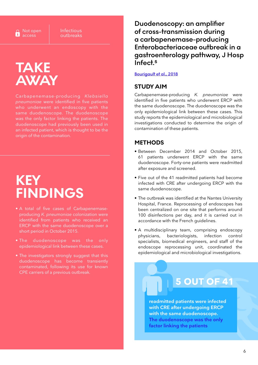Infectious outbreaks

### **TAKE AWAY**

Carbapenemase-producing *Klebsiella pneumoniae* were identified in five patients who underwent an endoscopy with the same duodenoscope. The duodenoscope was the only factor linking the patients. The duodenoscope had previously been used in an infected patient, which is thought to be the origin of the contamination.

### **KEY FINDINGS**

- A total of five cases of Carbapenemaseproducing *K. pneumoniae* colonization were identified from patients who received an ERCP with the same duodenoscope over a short period in October 2015.
- The duodenoscope was the only epidemiological link between these cases.
- The investigators strongly suggest that this duodenoscope has become transiently contaminated, following its use for known CPE carriers of a previous outbreak.

**Duodenoscopy: an amplifier of cross-transmission during a carbapenemase-producing Enterobacteriaceae outbreak in a gastroenterology pathway, J Hosp Infect.5**

#### **[Bourigault et al., 2018](https://www.thieme-connect.com/products/ejournals/abstract/10.1055/s-0034-1391886)**

#### **STUDY AIM**

Carbapenemase-producing *K. pneumoniae* were identified in five patients who underwent ERCP with the same duodenoscope. The duodenoscope was the only epidemiological link between these cases. This study reports the epidemiological and microbiological investigations conducted to determine the origin of contamination of these patients.

#### **METHODS**

- Between December 2014 and October 2015, 61 patients underwent ERCP with the same duodenoscope. Forty-one patients were readmitted after exposure and screened.
- Five out of the 41 readmitted patients had become infected with CRE after undergoing ERCP with the same duodenoscope.
- The outbreak was identified at the Nantes University Hospital, France. Reprocessing of endoscopes has been centralized on one site that performs around 100 disinfections per day, and it is carried out in accordance with the French guidelines.
- A multidisciplinary team, comprising endoscopy physicians, bacteriologists, infection control specialists, biomedical engineers, and staff of the endoscope reprocessing unit, coordinated the epidemiological and microbiological investigations.

### **5 OUT OF 41**

**readmitted patients were infected with CRE after undergoing ERCP with the same duodenoscope. The duodenoscope was the only factor linking the patients**